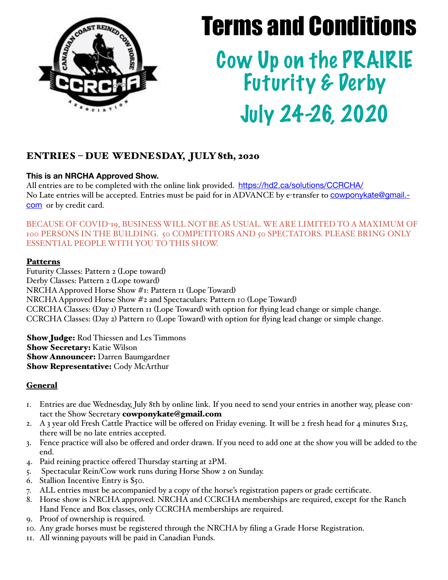

# Terms and Conditions

Cow Up on the PRAIRIE Futurity & Derby July 24-26, 2020

## ENTRIES – DUE WEDNESDAY, JULY 8th, 2020

### **This is an NRCHA Approved Show.**

All entries are to be completed with the online link provided. <https://hd2.ca/solutions/CCRCHA/> No Late entries will be accepted. Entries must be paid for in ADVANCE by e-transfer to [cowponykate@gmail.](mailto:cowponykate@gmail.com) [com](mailto:cowponykate@gmail.com) or by credit card.

BECAUSE OF COVID-19, BUSINESS WILL NOT BE AS USUAL. WE ARE LIMITED TO A MAXIMUM OF 100 PERSONS IN THE BUILDING. 50 COMPETITORS AND 50 SPECTATORS. PLEASE BRING ONLY ESSENTIAL PEOPLE WITH YOU TO THIS SHOW.

#### **Patterns**

Futurity Classes: Pattern 2 (Lope toward) Derby Classes: Pattern 2 (Lope toward) NRCHA Approved Horse Show #1: Pattern 11 (Lope Toward) NRCHA Approved Horse Show #2 and Spectaculars: Pattern 10 (Lope Toward) CCRCHA Classes: (Day 1) Pattern 11 (Lope Toward) with option for flying lead change or simple change. CCRCHA Classes: (Day 2) Pattern 10 (Lope Toward) with option for flying lead change or simple change.

**Show Judge:** Rod Thiessen and Les Timmons Show Secretary: Katie Wilson **Show Announcer:** Darren Baumgardner Show Representative: Cody McArthur

## **General**

- 1. Entries are due Wednesday, July 8th by online link. If you need to send your entries in another way, please contact the Show Secretary cowponykate@gmail.com
- 2. A 3 year old Fresh Cattle Practice will be offered on Friday evening. It will be 2 fresh head for 4 minutes \$125, there will be no late entries accepted.
- 3. Fence practice will also be offered and order drawn. If you need to add one at the show you will be added to the end.
- 4. Paid reining practice offered Thursday starting at 2PM.
- 5. Spectacular Rein/Cow work runs during Horse Show 2 on Sunday.
- 6. Stallion Incentive Entry is \$50.
- 7. ALL entries must be accompanied by a copy of the horse's registration papers or grade certificate.
- 8. Horse show is NRCHA approved. NRCHA and CCRCHA memberships are required, except for the Ranch Hand Fence and Box classes, only CCRCHA memberships are required.
- 9. Proof of ownership is required.
- 10. Any grade horses must be registered through the NRCHA by filing a Grade Horse Registration.
- 11. All winning payouts will be paid in Canadian Funds.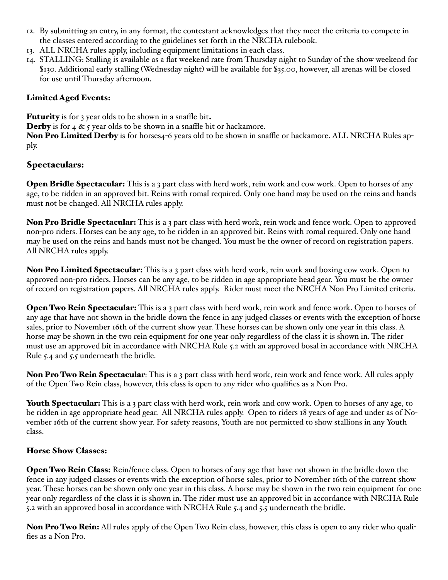- 12. By submitting an entry, in any format, the contestant acknowledges that they meet the criteria to compete in the classes entered according to the guidelines set forth in the NRCHA rulebook.
- 13. ALL NRCHA rules apply, including equipment limitations in each class.
- 14. STALLING: Stalling is available as a flat weekend rate from Thursday night to Sunday of the show weekend for \$130. Additional early stalling (Wednesday night) will be available for \$35.00, however, all arenas will be closed for use until Thursday afternoon.

#### Limited Aged Events:

Futurity is for 3 year olds to be shown in a snaffle bit.

**Derby** is for 4  $\&$  5 year olds to be shown in a snaffle bit or hackamore.

Non Pro Limited Derby is for horses4-6 years old to be shown in snaffle or hackamore. ALL NRCHA Rules apply.

## Spectaculars:

**Open Bridle Spectacular:** This is a 3 part class with herd work, rein work and cow work. Open to horses of any age, to be ridden in an approved bit. Reins with romal required. Only one hand may be used on the reins and hands must not be changed. All NRCHA rules apply.

Non Pro Bridle Spectacular: This is a 3 part class with herd work, rein work and fence work. Open to approved non-pro riders. Horses can be any age, to be ridden in an approved bit. Reins with romal required. Only one hand may be used on the reins and hands must not be changed. You must be the owner of record on registration papers. All NRCHA rules apply.

Non Pro Limited Spectacular: This is a 3 part class with herd work, rein work and boxing cow work. Open to approved non-pro riders. Horses can be any age, to be ridden in age appropriate head gear. You must be the owner of record on registration papers. All NRCHA rules apply. Rider must meet the NRCHA Non Pro Limited criteria.

**Open Two Rein Spectacular:** This is a 3 part class with herd work, rein work and fence work. Open to horses of any age that have not shown in the bridle down the fence in any judged classes or events with the exception of horse sales, prior to November 16th of the current show year. These horses can be shown only one year in this class. A horse may be shown in the two rein equipment for one year only regardless of the class it is shown in. The rider must use an approved bit in accordance with NRCHA Rule 5.2 with an approved bosal in accordance with NRCHA Rule 5.4 and 5.5 underneath the bridle.

Non Pro Two Rein Spectacular: This is a 3 part class with herd work, rein work and fence work. All rules apply of the Open Two Rein class, however, this class is open to any rider who qualifies as a Non Pro.

Youth Spectacular: This is a 3 part class with herd work, rein work and cow work. Open to horses of any age, to be ridden in age appropriate head gear. All NRCHA rules apply. Open to riders 18 years of age and under as of November 16th of the current show year. For safety reasons, Youth are not permitted to show stallions in any Youth class.

## Horse Show Classes:

**Open Two Rein Class:** Rein/fence class. Open to horses of any age that have not shown in the bridle down the fence in any judged classes or events with the exception of horse sales, prior to November 16th of the current show year. These horses can be shown only one year in this class. A horse may be shown in the two rein equipment for one year only regardless of the class it is shown in. The rider must use an approved bit in accordance with NRCHA Rule 5.2 with an approved bosal in accordance with NRCHA Rule 5.4 and 5.5 underneath the bridle.

Non Pro Two Rein: All rules apply of the Open Two Rein class, however, this class is open to any rider who qualifies as a Non Pro.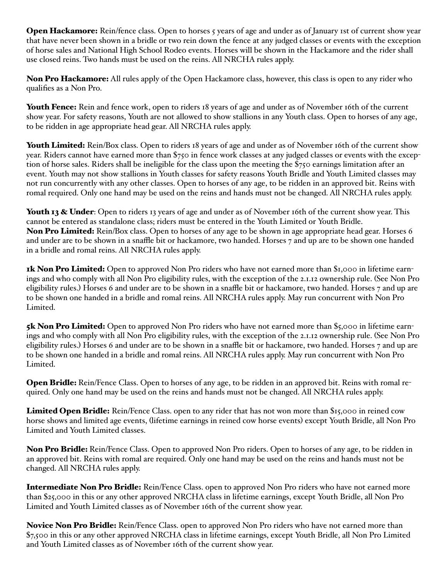Open Hackamore: Rein/fence class. Open to horses 5 years of age and under as of January 1st of current show year that have never been shown in a bridle or two rein down the fence at any judged classes or events with the exception of horse sales and National High School Rodeo events. Horses will be shown in the Hackamore and the rider shall use closed reins. Two hands must be used on the reins. All NRCHA rules apply.

Non Pro Hackamore: All rules apply of the Open Hackamore class, however, this class is open to any rider who qualifies as a Non Pro.

Youth Fence: Rein and fence work, open to riders 18 years of age and under as of November 16th of the current show year. For safety reasons, Youth are not allowed to show stallions in any Youth class. Open to horses of any age, to be ridden in age appropriate head gear. All NRCHA rules apply.

Youth Limited: Rein/Box class. Open to riders 18 years of age and under as of November 16th of the current show year. Riders cannot have earned more than \$750 in fence work classes at any judged classes or events with the exception of horse sales. Riders shall be ineligible for the class upon the meeting the \$750 earnings limitation after an event. Youth may not show stallions in Youth classes for safety reasons Youth Bridle and Youth Limited classes may not run concurrently with any other classes. Open to horses of any age, to be ridden in an approved bit. Reins with romal required. Only one hand may be used on the reins and hands must not be changed. All NRCHA rules apply.

Youth 13 & Under: Open to riders 13 years of age and under as of November 16th of the current show year. This cannot be entered as standalone class; riders must be entered in the Youth Limited or Youth Bridle. Non Pro Limited: Rein/Box class. Open to horses of any age to be shown in age appropriate head gear. Horses 6 and under are to be shown in a snaffle bit or hackamore, two handed. Horses 7 and up are to be shown one handed in a bridle and romal reins. All NRCHA rules apply.

**1k Non Pro Limited:** Open to approved Non Pro riders who have not earned more than \$1,000 in lifetime earnings and who comply with all Non Pro eligibility rules, with the exception of the 2.1.12 ownership rule. (See Non Pro eligibility rules.) Horses 6 and under are to be shown in a snaffle bit or hackamore, two handed. Horses 7 and up are to be shown one handed in a bridle and romal reins. All NRCHA rules apply. May run concurrent with Non Pro Limited.

5k Non Pro Limited: Open to approved Non Pro riders who have not earned more than \$5,000 in lifetime earnings and who comply with all Non Pro eligibility rules, with the exception of the 2.1.12 ownership rule. (See Non Pro eligibility rules.) Horses 6 and under are to be shown in a snaffle bit or hackamore, two handed. Horses 7 and up are to be shown one handed in a bridle and romal reins. All NRCHA rules apply. May run concurrent with Non Pro Limited.

Open Bridle: Rein/Fence Class. Open to horses of any age, to be ridden in an approved bit. Reins with romal required. Only one hand may be used on the reins and hands must not be changed. All NRCHA rules apply.

Limited Open Bridle: Rein/Fence Class. open to any rider that has not won more than \$15,000 in reined cow horse shows and limited age events, (lifetime earnings in reined cow horse events) except Youth Bridle, all Non Pro Limited and Youth Limited classes.

Non Pro Bridle: Rein/Fence Class. Open to approved Non Pro riders. Open to horses of any age, to be ridden in an approved bit. Reins with romal are required. Only one hand may be used on the reins and hands must not be changed. All NRCHA rules apply.

Intermediate Non Pro Bridle: Rein/Fence Class. open to approved Non Pro riders who have not earned more than \$25,000 in this or any other approved NRCHA class in lifetime earnings, except Youth Bridle, all Non Pro Limited and Youth Limited classes as of November 16th of the current show year.

Novice Non Pro Bridle: Rein/Fence Class. open to approved Non Pro riders who have not earned more than \$7,500 in this or any other approved NRCHA class in lifetime earnings, except Youth Bridle, all Non Pro Limited and Youth Limited classes as of November 16th of the current show year.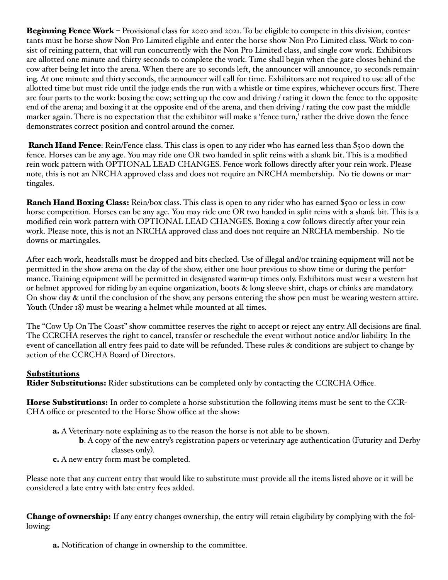Beginning Fence Work – Provisional class for 2020 and 2021. To be eligible to compete in this division, contestants must be horse show Non Pro Limited eligible and enter the horse show Non Pro Limited class. Work to consist of reining pattern, that will run concurrently with the Non Pro Limited class, and single cow work. Exhibitors are allotted one minute and thirty seconds to complete the work. Time shall begin when the gate closes behind the cow after being let into the arena. When there are 30 seconds left, the announcer will announce, 30 seconds remaining. At one minute and thirty seconds, the announcer will call for time. Exhibitors are not required to use all of the allotted time but must ride until the judge ends the run with a whistle or time expires, whichever occurs first. There are four parts to the work: boxing the cow; setting up the cow and driving / rating it down the fence to the opposite end of the arena; and boxing it at the opposite end of the arena, and then driving / rating the cow past the middle marker again. There is no expectation that the exhibitor will make a 'fence turn,' rather the drive down the fence demonstrates correct position and control around the corner.

Ranch Hand Fence: Rein/Fence class. This class is open to any rider who has earned less than \$500 down the fence. Horses can be any age. You may ride one OR two handed in split reins with a shank bit. This is a modified rein work pattern with OPTIONAL LEAD CHANGES. Fence work follows directly after your rein work. Please note, this is not an NRCHA approved class and does not require an NRCHA membership. No tie downs or martingales.

Ranch Hand Boxing Class: Rein/box class. This class is open to any rider who has earned \$500 or less in cow horse competition. Horses can be any age. You may ride one OR two handed in split reins with a shank bit. This is a modified rein work pattern with OPTIONAL LEAD CHANGES. Boxing a cow follows directly after your rein work. Please note, this is not an NRCHA approved class and does not require an NRCHA membership. No tie downs or martingales.

After each work, headstalls must be dropped and bits checked. Use of illegal and/or training equipment will not be permitted in the show arena on the day of the show, either one hour previous to show time or during the performance. Training equipment will be permitted in designated warm-up times only. Exhibitors must wear a western hat or helmet approved for riding by an equine organization, boots & long sleeve shirt, chaps or chinks are mandatory. On show day & until the conclusion of the show, any persons entering the show pen must be wearing western attire. Youth (Under 18) must be wearing a helmet while mounted at all times.

The "Cow Up On The Coast" show committee reserves the right to accept or reject any entry. All decisions are final. The CCRCHA reserves the right to cancel, transfer or reschedule the event without notice and/or liability. In the event of cancellation all entry fees paid to date will be refunded. These rules & conditions are subject to change by action of the CCRCHA Board of Directors.

#### **Substitutions**

Rider Substitutions: Rider substitutions can be completed only by contacting the CCRCHA Office.

**Horse Substitutions:** In order to complete a horse substitution the following items must be sent to the CCR-CHA office or presented to the Horse Show office at the show:

- a. A Veterinary note explaining as to the reason the horse is not able to be shown.
	- b. A copy of the new entry's registration papers or veterinary age authentication (Futurity and Derby classes only).
- c. A new entry form must be completed.

Please note that any current entry that would like to substitute must provide all the items listed above or it will be considered a late entry with late entry fees added.

Change of ownership: If any entry changes ownership, the entry will retain eligibility by complying with the following:

a. Notification of change in ownership to the committee.